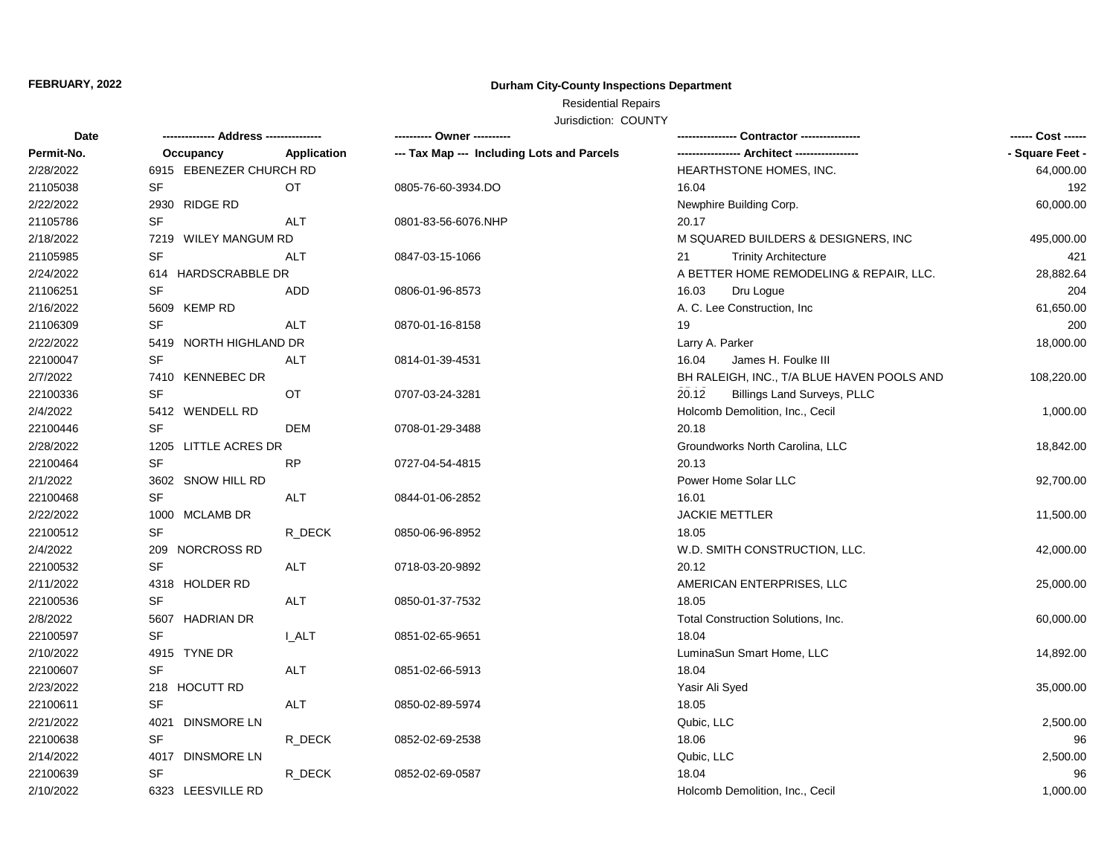# **FEBRUARY, 2022 Durham City-County Inspections Department**

# Residential Repairs

Jurisdiction: COUNTY

| Date       |                         |              | ---------- Owner ----------                |                                             | ------ Cost ------ |
|------------|-------------------------|--------------|--------------------------------------------|---------------------------------------------|--------------------|
| Permit-No. | Occupancy               | Application  | --- Tax Map --- Including Lots and Parcels |                                             | - Square Feet -    |
| 2/28/2022  | 6915 EBENEZER CHURCH RD |              |                                            | HEARTHSTONE HOMES, INC.                     | 64,000.00          |
| 21105038   | SF                      | OT.          | 0805-76-60-3934.DO                         | 16.04                                       | 192                |
| 2/22/2022  | 2930 RIDGE RD           |              |                                            | Newphire Building Corp.                     | 60,000.00          |
| 21105786   | SF                      | <b>ALT</b>   | 0801-83-56-6076.NHP                        | 20.17                                       |                    |
| 2/18/2022  | 7219 WILEY MANGUM RD    |              |                                            | M SQUARED BUILDERS & DESIGNERS, INC         | 495,000.00         |
| 21105985   | <b>SF</b>               | ALT          | 0847-03-15-1066                            | <b>Trinity Architecture</b><br>21           | 421                |
| 2/24/2022  | 614 HARDSCRABBLE DR     |              |                                            | A BETTER HOME REMODELING & REPAIR, LLC.     | 28,882.64          |
| 21106251   | <b>SF</b>               | ADD          | 0806-01-96-8573                            | 16.03<br>Dru Logue                          | 204                |
| 2/16/2022  | 5609 KEMP RD            |              |                                            | A. C. Lee Construction, Inc.                | 61,650.00          |
| 21106309   | <b>SF</b>               | <b>ALT</b>   | 0870-01-16-8158                            | 19                                          | 200                |
| 2/22/2022  | 5419 NORTH HIGHLAND DR  |              |                                            | Larry A. Parker                             | 18,000.00          |
| 22100047   | SF                      | <b>ALT</b>   | 0814-01-39-4531                            | 16.04<br>James H. Foulke III                |                    |
| 2/7/2022   | 7410 KENNEBEC DR        |              |                                            | BH RALEIGH, INC., T/A BLUE HAVEN POOLS AND  | 108,220.00         |
| 22100336   | <b>SF</b>               | OT           | 0707-03-24-3281                            | 20.12<br><b>Billings Land Surveys, PLLC</b> |                    |
| 2/4/2022   | 5412 WENDELL RD         |              |                                            | Holcomb Demolition, Inc., Cecil             | 1,000.00           |
| 22100446   | <b>SF</b>               | DEM          | 0708-01-29-3488                            | 20.18                                       |                    |
| 2/28/2022  | 1205 LITTLE ACRES DR    |              |                                            | Groundworks North Carolina, LLC             | 18,842.00          |
| 22100464   | <b>SF</b>               | <b>RP</b>    | 0727-04-54-4815                            | 20.13                                       |                    |
| 2/1/2022   | 3602 SNOW HILL RD       |              |                                            | Power Home Solar LLC                        | 92,700.00          |
| 22100468   | <b>SF</b>               | ALT          | 0844-01-06-2852                            | 16.01                                       |                    |
| 2/22/2022  | 1000 MCLAMB DR          |              |                                            | JACKIE METTLER                              | 11,500.00          |
| 22100512   | <b>SF</b>               | R DECK       | 0850-06-96-8952                            | 18.05                                       |                    |
| 2/4/2022   | 209 NORCROSS RD         |              |                                            | W.D. SMITH CONSTRUCTION, LLC.               | 42,000.00          |
| 22100532   | <b>SF</b>               | ALT          | 0718-03-20-9892                            | 20.12                                       |                    |
| 2/11/2022  | 4318 HOLDER RD          |              |                                            | AMERICAN ENTERPRISES, LLC                   | 25,000.00          |
| 22100536   | <b>SF</b>               | ALT          | 0850-01-37-7532                            | 18.05                                       |                    |
| 2/8/2022   | 5607 HADRIAN DR         |              |                                            | Total Construction Solutions, Inc.          | 60,000.00          |
| 22100597   | <b>SF</b>               | <b>L_ALT</b> | 0851-02-65-9651                            | 18.04                                       |                    |
| 2/10/2022  | 4915 TYNE DR            |              |                                            | LuminaSun Smart Home, LLC                   | 14,892.00          |
| 22100607   | <b>SF</b>               | <b>ALT</b>   | 0851-02-66-5913                            | 18.04                                       |                    |
| 2/23/2022  | 218 HOCUTT RD           |              |                                            | Yasir Ali Syed                              | 35,000.00          |
| 22100611   | SF                      | ALT          | 0850-02-89-5974                            | 18.05                                       |                    |
| 2/21/2022  | 4021 DINSMORE LN        |              |                                            | Qubic, LLC                                  | 2,500.00           |
| 22100638   | SF                      | R_DECK       | 0852-02-69-2538                            | 18.06                                       | 96                 |
| 2/14/2022  | 4017 DINSMORE LN        |              |                                            | Qubic, LLC                                  | 2,500.00           |
| 22100639   | SF                      | R_DECK       | 0852-02-69-0587                            | 18.04                                       | 96                 |
| 2/10/2022  | 6323 LEESVILLE RD       |              |                                            | Holcomb Demolition, Inc., Cecil             | 1,000.00           |